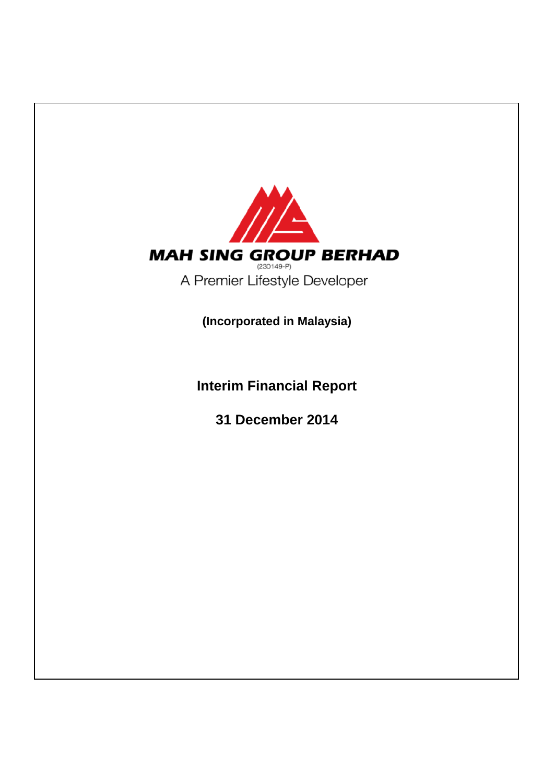

**Interim Financial Report**

**31 December 2014**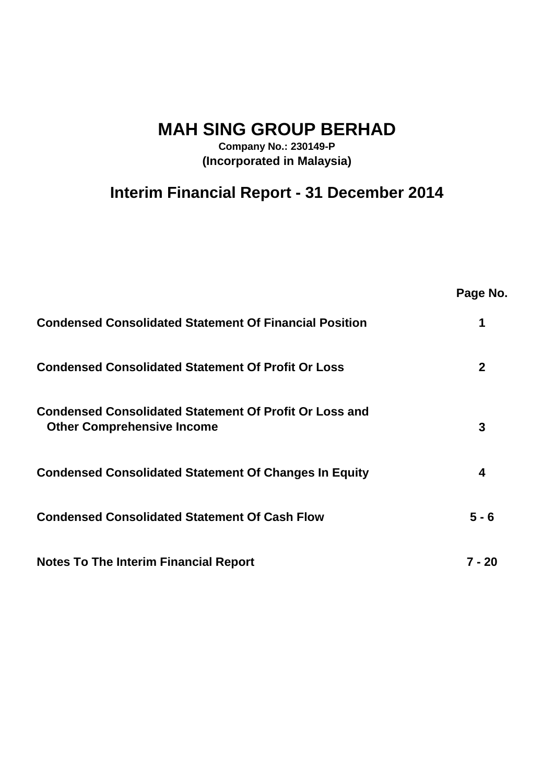**MAH SING GROUP BERHAD**

**Company No.: 230149-P (Incorporated in Malaysia)**

# **Interim Financial Report - 31 December 2014**

|                                                                                                    | Page No.    |
|----------------------------------------------------------------------------------------------------|-------------|
| <b>Condensed Consolidated Statement Of Financial Position</b>                                      |             |
| <b>Condensed Consolidated Statement Of Profit Or Loss</b>                                          | $\mathbf 2$ |
| <b>Condensed Consolidated Statement Of Profit Or Loss and</b><br><b>Other Comprehensive Income</b> | 3           |
| <b>Condensed Consolidated Statement Of Changes In Equity</b>                                       | 4           |
| <b>Condensed Consolidated Statement Of Cash Flow</b>                                               | $5 - 6$     |
| <b>Notes To The Interim Financial Report</b>                                                       | $7 - 20$    |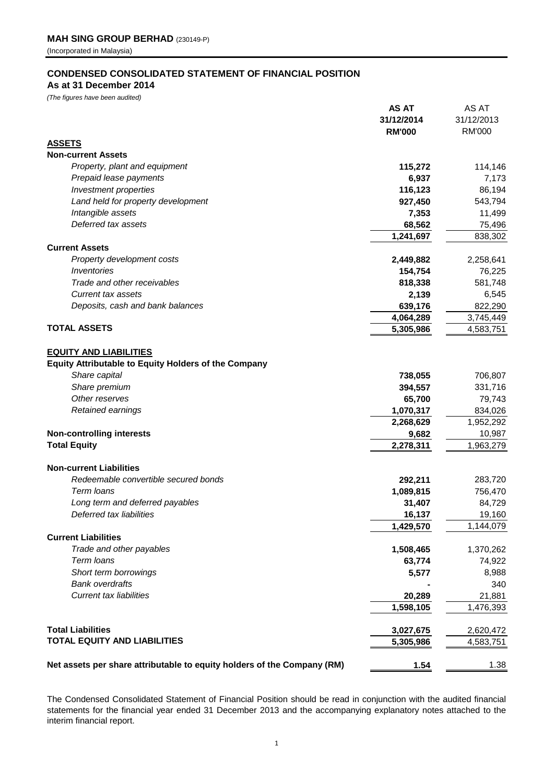#### **CONDENSED CONSOLIDATED STATEMENT OF FINANCIAL POSITION**

# **As at 31 December 2014**

*(The figures have been audited)*

|                                                                         | <b>AS AT</b>  | AS AT         |
|-------------------------------------------------------------------------|---------------|---------------|
|                                                                         | 31/12/2014    | 31/12/2013    |
|                                                                         | <b>RM'000</b> | <b>RM'000</b> |
| <b>ASSETS</b>                                                           |               |               |
| <b>Non-current Assets</b>                                               |               |               |
| Property, plant and equipment                                           | 115,272       | 114,146       |
| Prepaid lease payments                                                  | 6,937         | 7,173         |
| Investment properties                                                   | 116,123       | 86,194        |
| Land held for property development                                      | 927,450       | 543,794       |
| Intangible assets                                                       | 7,353         | 11,499        |
| Deferred tax assets                                                     | 68,562        | 75,496        |
|                                                                         | 1,241,697     | 838,302       |
| <b>Current Assets</b>                                                   |               |               |
| Property development costs                                              | 2,449,882     | 2,258,641     |
| Inventories                                                             | 154,754       | 76,225        |
| Trade and other receivables                                             | 818,338       | 581,748       |
| <b>Current tax assets</b>                                               | 2,139         | 6,545         |
| Deposits, cash and bank balances                                        | 639,176       | 822,290       |
|                                                                         | 4,064,289     | 3,745,449     |
| <b>TOTAL ASSETS</b>                                                     | 5,305,986     | 4,583,751     |
|                                                                         |               |               |
| <b>EQUITY AND LIABILITIES</b>                                           |               |               |
| <b>Equity Attributable to Equity Holders of the Company</b>             |               |               |
| Share capital                                                           | 738,055       | 706,807       |
| Share premium                                                           | 394,557       | 331,716       |
| Other reserves                                                          | 65,700        | 79,743        |
| Retained earnings                                                       | 1,070,317     | 834,026       |
|                                                                         | 2,268,629     | 1,952,292     |
| <b>Non-controlling interests</b>                                        | 9,682         | 10,987        |
| <b>Total Equity</b>                                                     | 2,278,311     | 1,963,279     |
|                                                                         |               |               |
| <b>Non-current Liabilities</b>                                          |               |               |
| Redeemable convertible secured bonds                                    | 292,211       | 283,720       |
| Term Ioans                                                              | 1,089,815     | 756,470       |
| Long term and deferred payables                                         | 31,407        | 84,729        |
| Deferred tax liabilities                                                | 16,137        | 19,160        |
|                                                                         | 1,429,570     | 1,144,079     |
| <b>Current Liabilities</b>                                              |               |               |
| Trade and other payables                                                | 1,508,465     | 1,370,262     |
| Term loans                                                              | 63,774        | 74,922        |
| Short term borrowings                                                   | 5,577         | 8,988         |
| <b>Bank overdrafts</b>                                                  |               | 340           |
| <b>Current tax liabilities</b>                                          | 20,289        | 21,881        |
|                                                                         | 1,598,105     | 1,476,393     |
|                                                                         |               |               |
| <b>Total Liabilities</b>                                                | 3,027,675     | 2,620,472     |
| <b>TOTAL EQUITY AND LIABILITIES</b>                                     | 5,305,986     | 4,583,751     |
|                                                                         |               |               |
| Net assets per share attributable to equity holders of the Company (RM) | 1.54          | <u>1.38</u>   |

The Condensed Consolidated Statement of Financial Position should be read in conjunction with the audited financial statements for the financial year ended 31 December 2013 and the accompanying explanatory notes attached to the interim financial report.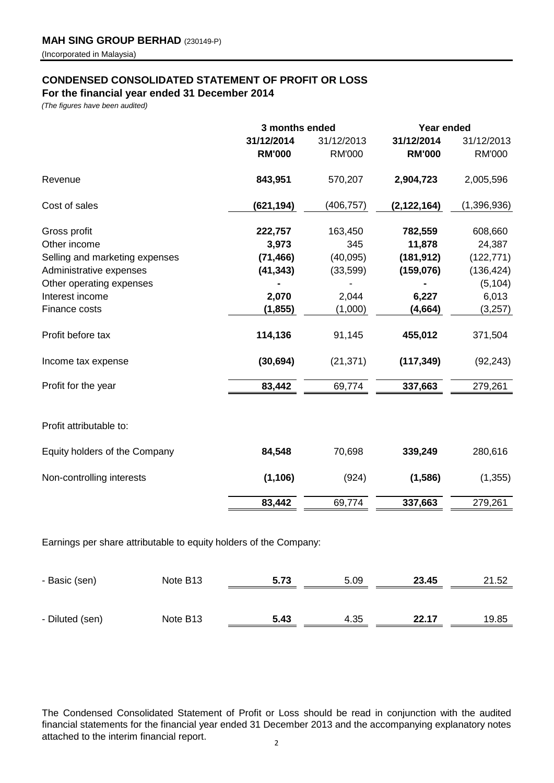# **CONDENSED CONSOLIDATED STATEMENT OF PROFIT OR LOSS**

**For the financial year ended 31 December 2014**

*(The figures have been audited)*

| 31/12/2014<br><b>RM'000</b><br>843,951 | 31/12/2013<br><b>RM'000</b>                               | 31/12/2014<br><b>RM'000</b> | 31/12/2013<br><b>RM'000</b> |
|----------------------------------------|-----------------------------------------------------------|-----------------------------|-----------------------------|
|                                        |                                                           |                             |                             |
|                                        |                                                           |                             |                             |
|                                        | 570,207                                                   | 2,904,723                   | 2,005,596                   |
| (621, 194)                             | (406, 757)                                                | (2, 122, 164)               | (1,396,936)                 |
|                                        | 163,450                                                   | 782,559                     | 608,660                     |
| 3,973                                  | 345                                                       | 11,878                      | 24,387                      |
|                                        | (40,095)                                                  | (181, 912)                  | (122, 771)                  |
|                                        | (33, 599)                                                 | (159, 076)                  | (136, 424)                  |
|                                        |                                                           |                             | (5, 104)                    |
| 2,070                                  | 2,044                                                     | 6,227                       | 6,013                       |
| (1, 855)                               | (1,000)                                                   | (4, 664)                    | (3,257)                     |
|                                        | 91,145                                                    | 455,012                     | 371,504                     |
|                                        | (21, 371)                                                 | (117, 349)                  | (92, 243)                   |
| 83,442                                 | 69,774                                                    | 337,663                     | 279,261                     |
|                                        |                                                           |                             |                             |
| 84,548                                 | 70,698                                                    | 339,249                     | 280,616                     |
| (1, 106)                               | (924)                                                     | (1,586)                     | (1, 355)                    |
| 83,442                                 | 69,774                                                    | 337,663                     | 279,261                     |
|                                        | 222,757<br>(71, 466)<br>(41, 343)<br>114,136<br>(30, 694) |                             |                             |

Earnings per share attributable to equity holders of the Company:

| - Basic (sen)   | Note B <sub>13</sub> | 5.73 | 5.09 | 23.45 | 21.52 |
|-----------------|----------------------|------|------|-------|-------|
|                 |                      |      |      |       |       |
| - Diluted (sen) | Note B <sub>13</sub> | 5.43 | 4.35 | 22.17 | 19.85 |

The Condensed Consolidated Statement of Profit or Loss should be read in conjunction with the audited financial statements for the financial year ended 31 December 2013 and the accompanying explanatory notes attached to the interim financial report.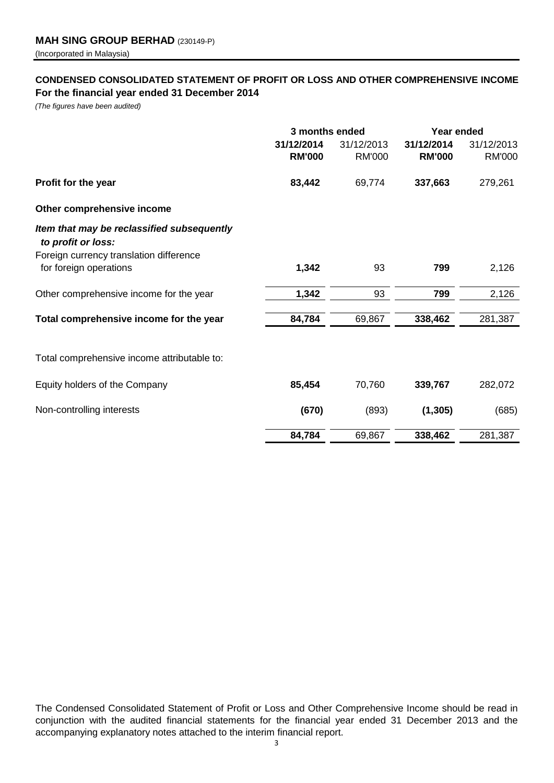# **CONDENSED CONSOLIDATED STATEMENT OF PROFIT OR LOSS AND OTHER COMPREHENSIVE INCOME For the financial year ended 31 December 2014**

*(The figures have been audited)*

|                                                                   | 3 months ended              |                             | Year ended                  |                             |
|-------------------------------------------------------------------|-----------------------------|-----------------------------|-----------------------------|-----------------------------|
|                                                                   | 31/12/2014<br><b>RM'000</b> | 31/12/2013<br><b>RM'000</b> | 31/12/2014<br><b>RM'000</b> | 31/12/2013<br><b>RM'000</b> |
| Profit for the year                                               | 83,442                      | 69,774                      | 337,663                     | 279,261                     |
| Other comprehensive income                                        |                             |                             |                             |                             |
| Item that may be reclassified subsequently<br>to profit or loss:  |                             |                             |                             |                             |
| Foreign currency translation difference<br>for foreign operations | 1,342                       | 93                          | 799                         | 2,126                       |
| Other comprehensive income for the year                           | 1,342                       | 93                          | 799                         | 2,126                       |
| Total comprehensive income for the year                           | 84,784                      | 69,867                      | 338,462                     | 281,387                     |
| Total comprehensive income attributable to:                       |                             |                             |                             |                             |
| Equity holders of the Company                                     | 85,454                      | 70,760                      | 339,767                     | 282,072                     |
| Non-controlling interests                                         | (670)                       | (893)                       | (1, 305)                    | (685)                       |
|                                                                   | 84,784                      | 69,867                      | 338,462                     | 281,387                     |

The Condensed Consolidated Statement of Profit or Loss and Other Comprehensive Income should be read in conjunction with the audited financial statements for the financial year ended 31 December 2013 and the accompanying explanatory notes attached to the interim financial report.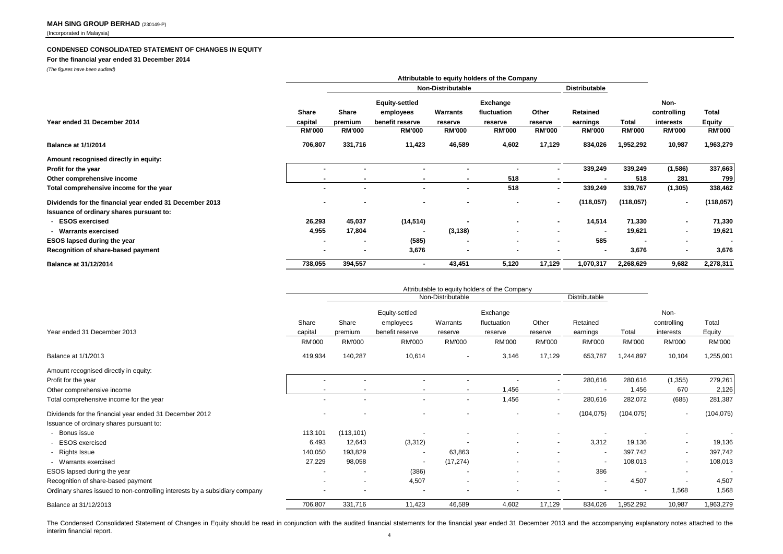#### **CONDENSED CONSOLIDATED STATEMENT OF CHANGES IN EQUITY**

#### **For the financial year ended 31 December 2014**

*(The figures have been audited)*

|                                                         | Attributable to equity holders of the Company |                          |                       |               |               |                          |                      |               |                          |                |
|---------------------------------------------------------|-----------------------------------------------|--------------------------|-----------------------|---------------|---------------|--------------------------|----------------------|---------------|--------------------------|----------------|
|                                                         |                                               | <b>Non-Distributable</b> |                       |               |               |                          | <b>Distributable</b> |               |                          |                |
|                                                         |                                               |                          | <b>Equity-settled</b> |               | Exchange      |                          |                      |               | Non-                     |                |
|                                                         | Share                                         | Share                    | employees             | Warrants      | fluctuation   | Other                    | Retained             |               | controlling              | Total          |
| Year ended 31 December 2014                             | capital                                       | premium                  | benefit reserve       | reserve       | reserve       | reserve                  | earnings             | Total         | interests                | <b>Equity</b>  |
|                                                         | <b>RM'000</b>                                 | <b>RM'000</b>            | <b>RM'000</b>         | <b>RM'000</b> | <b>RM'000</b> | <b>RM'000</b>            | <b>RM'000</b>        | <b>RM'000</b> | <b>RM'000</b>            | <b>RM'000</b>  |
| <b>Balance at 1/1/2014</b>                              | 706,807                                       | 331,716                  | 11,423                | 46,589        | 4,602         | 17,129                   | 834,026              | 1,952,292     | 10,987                   | 1,963,279      |
| Amount recognised directly in equity:                   |                                               |                          |                       |               |               |                          |                      |               |                          |                |
| Profit for the year                                     | $\blacksquare$                                |                          |                       |               |               |                          | 339,249              | 339,249       | (1,586)                  | 337,663        |
| Other comprehensive income                              | $\blacksquare$                                |                          |                       |               | 518           |                          |                      | 518           | 281                      | 799            |
| Total comprehensive income for the year                 |                                               |                          |                       |               | 518           | $\overline{\phantom{a}}$ | 339,249              | 339,767       | (1, 305)                 | 338,462        |
| Dividends for the financial year ended 31 December 2013 | $\blacksquare$                                |                          |                       |               |               | $\blacksquare$           | (118,057)            | (118,057)     | $\overline{\phantom{a}}$ | (118, 057)     |
| Issuance of ordinary shares pursuant to:                |                                               |                          |                       |               |               |                          |                      |               |                          |                |
| <b>ESOS exercised</b>                                   | 26,293                                        | 45,037                   | (14, 514)             |               |               | $\overline{\phantom{a}}$ | 14,514               | 71,330        | $\overline{\phantom{a}}$ | 71,330         |
| - Warrants exercised                                    | 4,955                                         | 17,804                   |                       | (3, 138)      | $\sim$        | $\overline{\phantom{a}}$ |                      | 19,621        | $\blacksquare$           | 19,621         |
| <b>ESOS lapsed during the year</b>                      | $\,$                                          | ۰                        | (585)                 |               |               | $\,$                     | 585                  |               | $\blacksquare$           | $\blacksquare$ |
| Recognition of share-based payment                      | $\blacksquare$                                | $\blacksquare$           | 3,676                 |               |               |                          | $\blacksquare$       | 3,676         | $\blacksquare$           | 3,676          |
| Balance at 31/12/2014                                   | 738,055                                       | 394,557                  |                       | 43,451        | 5,120         | 17,129                   | 1,070,317            | 2,268,629     | 9,682                    | 2,278,311      |

|                                                                                                     | Attributable to equity holders of the Company |                          |                                  |                          |                         |                          |                           |                          |                            |                         |
|-----------------------------------------------------------------------------------------------------|-----------------------------------------------|--------------------------|----------------------------------|--------------------------|-------------------------|--------------------------|---------------------------|--------------------------|----------------------------|-------------------------|
|                                                                                                     |                                               | Non-Distributable        |                                  |                          |                         |                          | Distributable             |                          |                            |                         |
|                                                                                                     | Share                                         | Share                    | Equity-settled<br>employees      | Warrants                 | Exchange<br>fluctuation | Other                    | Retained                  |                          | Non-<br>controlling        | Total                   |
| Year ended 31 December 2013                                                                         | capital<br>RM'000                             | premium<br><b>RM'000</b> | benefit reserve<br><b>RM'000</b> | reserve<br><b>RM'000</b> | reserve<br>RM'000       | reserve<br><b>RM'000</b> | earnings<br><b>RM'000</b> | Total<br>RM'000          | interests<br><b>RM'000</b> | Equity<br><b>RM'000</b> |
| Balance at 1/1/2013                                                                                 | 419,934                                       | 140,287                  | 10,614                           | $\sim$                   | 3,146                   | 17,129                   | 653,787                   | 1,244,897                | 10,104                     | 1,255,001               |
| Amount recognised directly in equity:<br>Profit for the year                                        |                                               |                          |                                  |                          |                         |                          | 280,616                   | 280,616                  | (1, 355)                   | 279,261                 |
| Other comprehensive income                                                                          |                                               |                          | $\overline{\phantom{a}}$         |                          | .456                    |                          |                           | 1,456                    | 670                        | 2,126                   |
| Total comprehensive income for the year                                                             |                                               |                          | $\overline{\phantom{a}}$         | $\sim$                   | 1,456                   | $\overline{a}$           | 280,616                   | 282,072                  | (685)                      | 281,387                 |
| Dividends for the financial year ended 31 December 2012<br>Issuance of ordinary shares pursuant to: |                                               |                          |                                  |                          |                         | $\overline{a}$           | (104, 075)                | (104, 075)               |                            | (104, 075)              |
| - Bonus issue                                                                                       | 113,101                                       | (113, 101)               |                                  |                          |                         |                          |                           |                          |                            |                         |
| - ESOS exercised                                                                                    | 6,493                                         | 12,643                   | (3,312)                          |                          | $\sim$                  | $\overline{\phantom{a}}$ | 3,312                     | 19,136                   | $\overline{\phantom{a}}$   | 19,136                  |
| - Rights Issue                                                                                      | 140,050                                       | 193,829                  | $\sim$                           | 63,863                   | $\sim$                  |                          | $\overline{\phantom{a}}$  | 397,742                  | $\overline{\phantom{a}}$   | 397,742                 |
| - Warrants exercised                                                                                | 27,229                                        | 98,058                   | $\overline{\phantom{a}}$         | (17, 274)                | $\sim$                  |                          |                           | 108,013                  | $\overline{\phantom{a}}$   | 108,013                 |
| ESOS lapsed during the year                                                                         | $\sim$                                        |                          | (386)                            | $\overline{a}$           | $\sim$                  | $\overline{\phantom{a}}$ | 386                       |                          |                            |                         |
| Recognition of share-based payment                                                                  |                                               |                          | 4,507                            |                          | $\overline{a}$          |                          | $\sim$                    | 4,507                    |                            | 4,507                   |
| Ordinary shares issued to non-controlling interests by a subsidiary company                         |                                               |                          |                                  |                          |                         |                          |                           | $\overline{\phantom{a}}$ | 1,568                      | 1,568                   |
| Balance at 31/12/2013                                                                               | 706,807                                       | 331,716                  | 11,423                           | 46,589                   | 4,602                   | 17,129                   | 834,026                   | 1,952,292                | 10,987                     | 1,963,279               |

The Condensed Consolidated Statement of Changes in Equity should be read in conjunction with the audited financial statements for the financial year ended 31 December 2013 and the accompanying explanatory notes attached to interim financial report.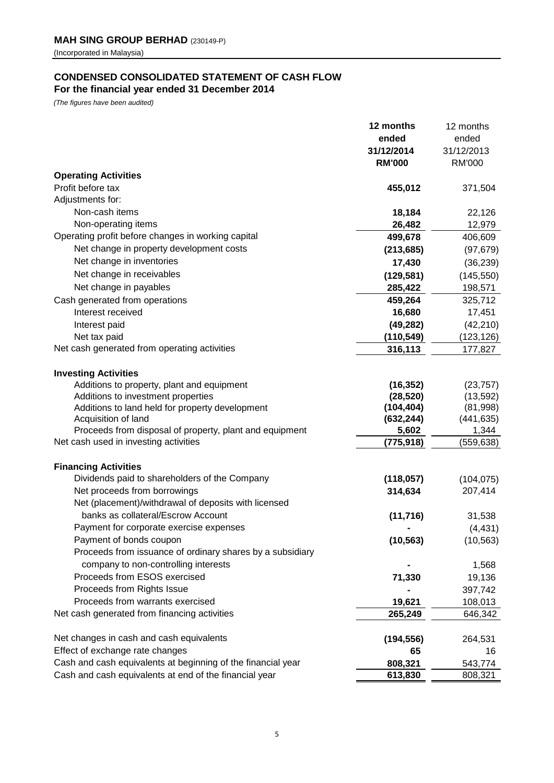# **CONDENSED CONSOLIDATED STATEMENT OF CASH FLOW For the financial year ended 31 December 2014**

*(The figures have been audited)*

|                                                              | 12 months     | 12 months     |
|--------------------------------------------------------------|---------------|---------------|
|                                                              | ended         | ended         |
|                                                              | 31/12/2014    | 31/12/2013    |
|                                                              | <b>RM'000</b> | <b>RM'000</b> |
| <b>Operating Activities</b>                                  |               |               |
| Profit before tax                                            | 455,012       | 371,504       |
| Adjustments for:                                             |               |               |
| Non-cash items                                               | 18,184        | 22,126        |
| Non-operating items                                          | 26,482        | 12,979        |
| Operating profit before changes in working capital           | 499,678       | 406,609       |
| Net change in property development costs                     | (213, 685)    | (97, 679)     |
| Net change in inventories                                    | 17,430        | (36, 239)     |
| Net change in receivables                                    | (129, 581)    | (145, 550)    |
| Net change in payables                                       | 285,422       | 198,571       |
| Cash generated from operations                               | 459,264       | 325,712       |
| Interest received                                            | 16,680        | 17,451        |
| Interest paid                                                | (49, 282)     | (42, 210)     |
| Net tax paid                                                 | (110, 549)    | (123, 126)    |
| Net cash generated from operating activities                 | 316,113       | 177,827       |
|                                                              |               |               |
| <b>Investing Activities</b>                                  |               |               |
| Additions to property, plant and equipment                   | (16, 352)     | (23, 757)     |
| Additions to investment properties                           | (28, 520)     | (13, 592)     |
| Additions to land held for property development              | (104, 404)    | (81,998)      |
| Acquisition of land                                          | (632, 244)    | (441, 635)    |
| Proceeds from disposal of property, plant and equipment      | 5,602         | 1,344         |
| Net cash used in investing activities                        | (775, 918)    | (559, 638)    |
| <b>Financing Activities</b>                                  |               |               |
| Dividends paid to shareholders of the Company                | (118, 057)    | (104, 075)    |
| Net proceeds from borrowings                                 | 314,634       | 207,414       |
| Net (placement)/withdrawal of deposits with licensed         |               |               |
| banks as collateral/Escrow Account                           | (11, 716)     | 31,538        |
| Payment for corporate exercise expenses                      |               | (4, 431)      |
| Payment of bonds coupon                                      | (10, 563)     | (10, 563)     |
| Proceeds from issuance of ordinary shares by a subsidiary    |               |               |
| company to non-controlling interests                         |               | 1,568         |
| Proceeds from ESOS exercised                                 | 71,330        | 19,136        |
| Proceeds from Rights Issue                                   |               | 397,742       |
| Proceeds from warrants exercised                             | 19,621        | 108,013       |
| Net cash generated from financing activities                 | 265,249       | 646,342       |
|                                                              |               |               |
| Net changes in cash and cash equivalents                     | (194, 556)    | 264,531       |
| Effect of exchange rate changes                              | 65            | 16            |
| Cash and cash equivalents at beginning of the financial year | 808,321       | 543,774       |
| Cash and cash equivalents at end of the financial year       | 613,830       | 808,321       |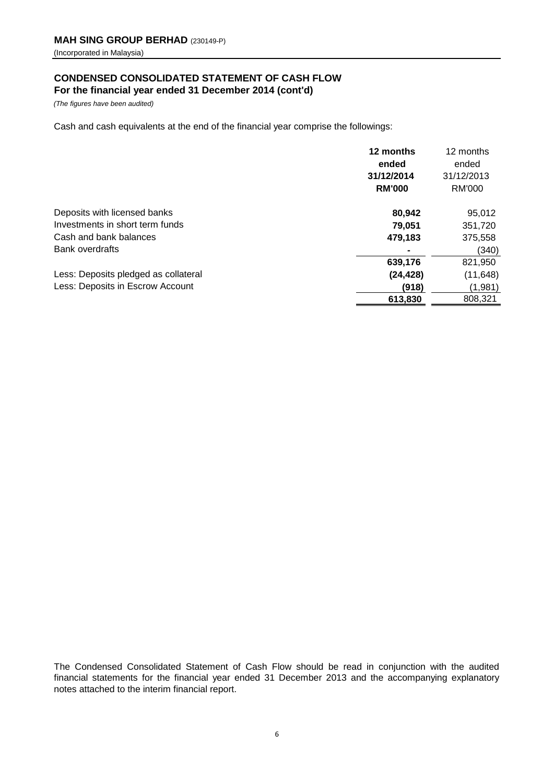# **CONDENSED CONSOLIDATED STATEMENT OF CASH FLOW For the financial year ended 31 December 2014 (cont'd)**

*(The figures have been audited)*

Cash and cash equivalents at the end of the financial year comprise the followings:

|                                      | 12 months<br>ended          | 12 months<br>ended   |
|--------------------------------------|-----------------------------|----------------------|
|                                      | 31/12/2014<br><b>RM'000</b> | 31/12/2013<br>RM'000 |
| Deposits with licensed banks         | 80,942                      | 95,012               |
| Investments in short term funds      | 79,051                      | 351,720              |
| Cash and bank balances               | 479.183                     | 375,558              |
| <b>Bank overdrafts</b>               |                             | (340)                |
|                                      | 639,176                     | 821,950              |
| Less: Deposits pledged as collateral | (24, 428)                   | (11, 648)            |
| Less: Deposits in Escrow Account     | (918)                       | (1,981)              |
|                                      | 613,830                     | 808,321              |

The Condensed Consolidated Statement of Cash Flow should be read in conjunction with the audited financial statements for the financial year ended 31 December 2013 and the accompanying explanatory notes attached to the interim financial report.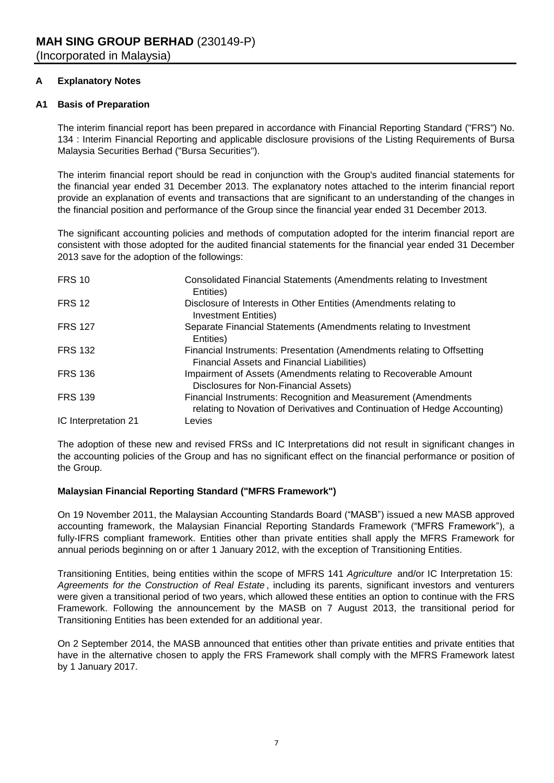# **A Explanatory Notes**

#### **A1 Basis of Preparation**

The interim financial report has been prepared in accordance with Financial Reporting Standard ("FRS") No. 134 : Interim Financial Reporting and applicable disclosure provisions of the Listing Requirements of Bursa Malaysia Securities Berhad ("Bursa Securities").

The interim financial report should be read in conjunction with the Group's audited financial statements for the financial year ended 31 December 2013. The explanatory notes attached to the interim financial report provide an explanation of events and transactions that are significant to an understanding of the changes in the financial position and performance of the Group since the financial year ended 31 December 2013.

The significant accounting policies and methods of computation adopted for the interim financial report are consistent with those adopted for the audited financial statements for the financial year ended 31 December 2013 save for the adoption of the followings:

| <b>FRS 10</b>        | Consolidated Financial Statements (Amendments relating to Investment<br>Entities)                                                           |
|----------------------|---------------------------------------------------------------------------------------------------------------------------------------------|
| <b>FRS 12</b>        | Disclosure of Interests in Other Entities (Amendments relating to<br><b>Investment Entities)</b>                                            |
| <b>FRS 127</b>       | Separate Financial Statements (Amendments relating to Investment<br>Entities)                                                               |
| <b>FRS 132</b>       | Financial Instruments: Presentation (Amendments relating to Offsetting<br>Financial Assets and Financial Liabilities)                       |
| <b>FRS 136</b>       | Impairment of Assets (Amendments relating to Recoverable Amount<br>Disclosures for Non-Financial Assets)                                    |
| <b>FRS 139</b>       | Financial Instruments: Recognition and Measurement (Amendments<br>relating to Novation of Derivatives and Continuation of Hedge Accounting) |
| IC Interpretation 21 | Levies                                                                                                                                      |

The adoption of these new and revised FRSs and IC Interpretations did not result in significant changes in the accounting policies of the Group and has no significant effect on the financial performance or position of the Group.

# **Malaysian Financial Reporting Standard ("MFRS Framework")**

On 19 November 2011, the Malaysian Accounting Standards Board ("MASB") issued a new MASB approved accounting framework, the Malaysian Financial Reporting Standards Framework ("MFRS Framework"), a fully-IFRS compliant framework. Entities other than private entities shall apply the MFRS Framework for annual periods beginning on or after 1 January 2012, with the exception of Transitioning Entities.

Transitioning Entities, being entities within the scope of MFRS 141 *Agriculture* and/or IC Interpretation 15: *Agreements for the Construction of Real Estate* , including its parents, significant investors and venturers were given a transitional period of two years, which allowed these entities an option to continue with the FRS Framework. Following the announcement by the MASB on 7 August 2013, the transitional period for Transitioning Entities has been extended for an additional year.

On 2 September 2014, the MASB announced that entities other than private entities and private entities that have in the alternative chosen to apply the FRS Framework shall comply with the MFRS Framework latest by 1 January 2017.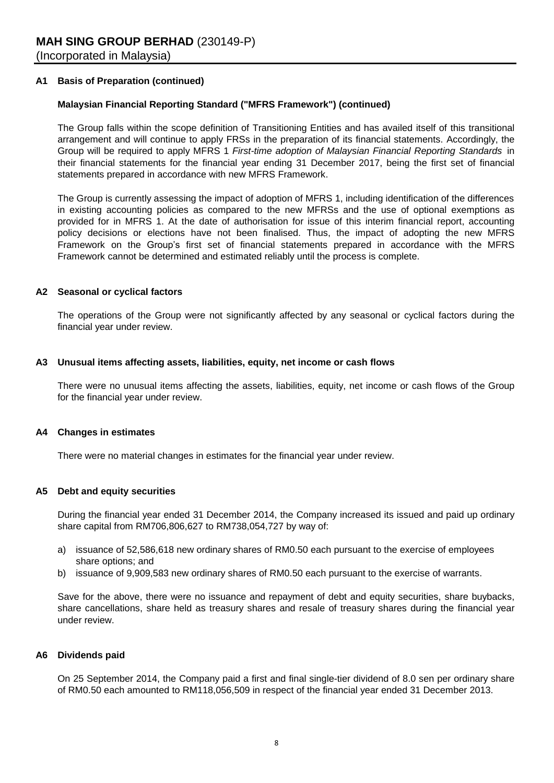#### **A1 Basis of Preparation (continued)**

#### **Malaysian Financial Reporting Standard ("MFRS Framework") (continued)**

The Group falls within the scope definition of Transitioning Entities and has availed itself of this transitional arrangement and will continue to apply FRSs in the preparation of its financial statements. Accordingly, the Group will be required to apply MFRS 1 *First-time adoption of Malaysian Financial Reporting Standards* in their financial statements for the financial year ending 31 December 2017, being the first set of financial statements prepared in accordance with new MFRS Framework.

The Group is currently assessing the impact of adoption of MFRS 1, including identification of the differences in existing accounting policies as compared to the new MFRSs and the use of optional exemptions as provided for in MFRS 1. At the date of authorisation for issue of this interim financial report, accounting policy decisions or elections have not been finalised. Thus, the impact of adopting the new MFRS Framework on the Group's first set of financial statements prepared in accordance with the MFRS Framework cannot be determined and estimated reliably until the process is complete.

#### **A2 Seasonal or cyclical factors**

The operations of the Group were not significantly affected by any seasonal or cyclical factors during the financial year under review.

#### **A3 Unusual items affecting assets, liabilities, equity, net income or cash flows**

There were no unusual items affecting the assets, liabilities, equity, net income or cash flows of the Group for the financial year under review.

#### **A4 Changes in estimates**

There were no material changes in estimates for the financial year under review.

#### **A5 Debt and equity securities**

During the financial year ended 31 December 2014, the Company increased its issued and paid up ordinary share capital from RM706,806,627 to RM738,054,727 by way of:

- a) issuance of 52,586,618 new ordinary shares of RM0.50 each pursuant to the exercise of employees share options; and
- b) issuance of 9,909,583 new ordinary shares of RM0.50 each pursuant to the exercise of warrants.

Save for the above, there were no issuance and repayment of debt and equity securities, share buybacks, share cancellations, share held as treasury shares and resale of treasury shares during the financial year under review.

#### **A6 Dividends paid**

On 25 September 2014, the Company paid a first and final single-tier dividend of 8.0 sen per ordinary share of RM0.50 each amounted to RM118,056,509 in respect of the financial year ended 31 December 2013.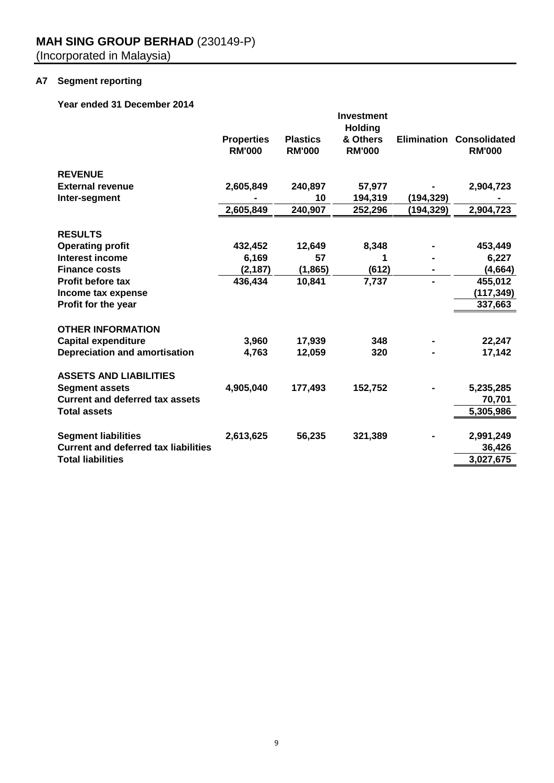# **A7 Segment reporting**

**Year ended 31 December 2014**

|                                             | <b>Investment</b><br><b>Holding</b> |                                  |                           |            |                                                  |  |  |
|---------------------------------------------|-------------------------------------|----------------------------------|---------------------------|------------|--------------------------------------------------|--|--|
|                                             | <b>Properties</b><br><b>RM'000</b>  | <b>Plastics</b><br><b>RM'000</b> | & Others<br><b>RM'000</b> |            | <b>Elimination Consolidated</b><br><b>RM'000</b> |  |  |
| <b>REVENUE</b>                              |                                     |                                  |                           |            |                                                  |  |  |
| <b>External revenue</b>                     | 2,605,849                           | 240,897                          | 57,977                    |            | 2,904,723                                        |  |  |
| Inter-segment                               |                                     | 10                               | 194,319                   | (194,329)  |                                                  |  |  |
|                                             | 2,605,849                           | 240,907                          | 252,296                   | (194, 329) | 2,904,723                                        |  |  |
| <b>RESULTS</b>                              |                                     |                                  |                           |            |                                                  |  |  |
| <b>Operating profit</b>                     | 432,452                             | 12,649                           | 8,348                     |            | 453,449                                          |  |  |
| <b>Interest income</b>                      | 6,169                               | 57                               | 1                         |            | 6,227                                            |  |  |
| <b>Finance costs</b>                        | (2, 187)                            | (1, 865)                         | (612)                     |            | (4, 664)                                         |  |  |
| <b>Profit before tax</b>                    | 436,434                             | 10,841                           | 7,737                     |            | 455,012                                          |  |  |
| Income tax expense                          |                                     |                                  |                           |            | (117, 349)                                       |  |  |
| Profit for the year                         |                                     |                                  |                           |            | 337,663                                          |  |  |
| <b>OTHER INFORMATION</b>                    |                                     |                                  |                           |            |                                                  |  |  |
| <b>Capital expenditure</b>                  | 3,960                               | 17,939                           | 348                       |            | 22,247                                           |  |  |
| <b>Depreciation and amortisation</b>        | 4,763                               | 12,059                           | 320                       |            | 17,142                                           |  |  |
| <b>ASSETS AND LIABILITIES</b>               |                                     |                                  |                           |            |                                                  |  |  |
| <b>Segment assets</b>                       | 4,905,040                           | 177,493                          | 152,752                   |            | 5,235,285                                        |  |  |
| <b>Current and deferred tax assets</b>      |                                     |                                  |                           |            | 70,701                                           |  |  |
| <b>Total assets</b>                         |                                     |                                  |                           |            | 5,305,986                                        |  |  |
|                                             |                                     |                                  |                           |            |                                                  |  |  |
| <b>Segment liabilities</b>                  | 2,613,625                           | 56,235                           | 321,389                   |            | 2,991,249                                        |  |  |
| <b>Current and deferred tax liabilities</b> |                                     |                                  |                           |            | 36,426                                           |  |  |
| <b>Total liabilities</b>                    |                                     |                                  |                           |            | 3,027,675                                        |  |  |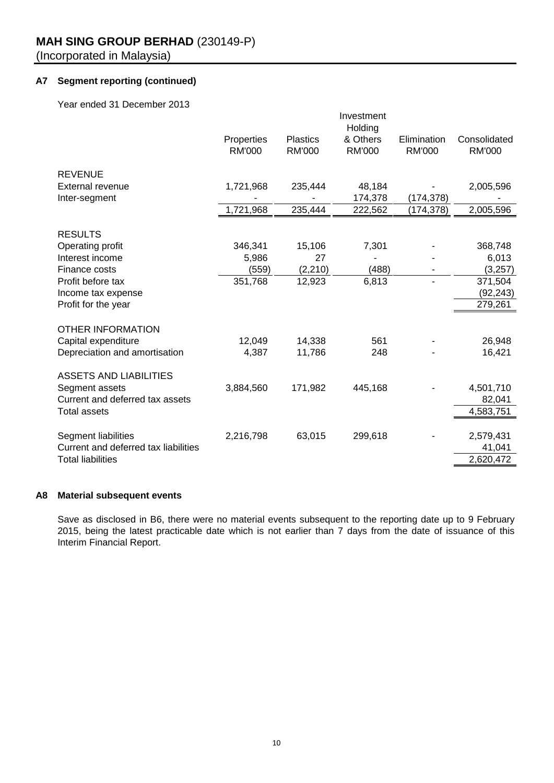# **A7 Segment reporting (continued)**

Year ended 31 December 2013

|                                      |                             |                                  | Investment<br>Holding     |                              |                               |
|--------------------------------------|-----------------------------|----------------------------------|---------------------------|------------------------------|-------------------------------|
|                                      | Properties<br><b>RM'000</b> | <b>Plastics</b><br><b>RM'000</b> | & Others<br><b>RM'000</b> | Elimination<br><b>RM'000</b> | Consolidated<br><b>RM'000</b> |
|                                      |                             |                                  |                           |                              |                               |
| <b>REVENUE</b>                       |                             |                                  |                           |                              |                               |
| External revenue                     | 1,721,968                   | 235,444                          | 48,184                    |                              | 2,005,596                     |
| Inter-segment                        |                             |                                  | 174,378                   | (174, 378)                   |                               |
|                                      | 1,721,968                   | 235,444                          | 222,562                   | (174, 378)                   | 2,005,596                     |
|                                      |                             |                                  |                           |                              |                               |
| <b>RESULTS</b>                       |                             |                                  |                           |                              |                               |
| Operating profit<br>Interest income  | 346,341                     | 15,106<br>27                     | 7,301                     |                              | 368,748                       |
| Finance costs                        | 5,986<br>(559)              | (2, 210)                         | (488)                     |                              | 6,013<br>(3,257)              |
| Profit before tax                    | 351,768                     | 12,923                           | 6,813                     | ۰                            | 371,504                       |
| Income tax expense                   |                             |                                  |                           |                              | (92, 243)                     |
| Profit for the year                  |                             |                                  |                           |                              | 279,261                       |
|                                      |                             |                                  |                           |                              |                               |
| <b>OTHER INFORMATION</b>             |                             |                                  |                           |                              |                               |
| Capital expenditure                  | 12,049                      | 14,338                           | 561                       |                              | 26,948                        |
| Depreciation and amortisation        | 4,387                       | 11,786                           | 248                       |                              | 16,421                        |
|                                      |                             |                                  |                           |                              |                               |
| <b>ASSETS AND LIABILITIES</b>        |                             |                                  |                           |                              |                               |
| Segment assets                       | 3,884,560                   | 171,982                          | 445,168                   |                              | 4,501,710                     |
| Current and deferred tax assets      |                             |                                  |                           |                              | 82,041                        |
| <b>Total assets</b>                  |                             |                                  |                           |                              | 4,583,751                     |
| Segment liabilities                  | 2,216,798                   | 63,015                           | 299,618                   |                              | 2,579,431                     |
| Current and deferred tax liabilities |                             |                                  |                           |                              | 41,041                        |
| <b>Total liabilities</b>             |                             |                                  |                           |                              | 2,620,472                     |
|                                      |                             |                                  |                           |                              |                               |

### **A8 Material subsequent events**

Save as disclosed in B6, there were no material events subsequent to the reporting date up to 9 February 2015, being the latest practicable date which is not earlier than 7 days from the date of issuance of this Interim Financial Report.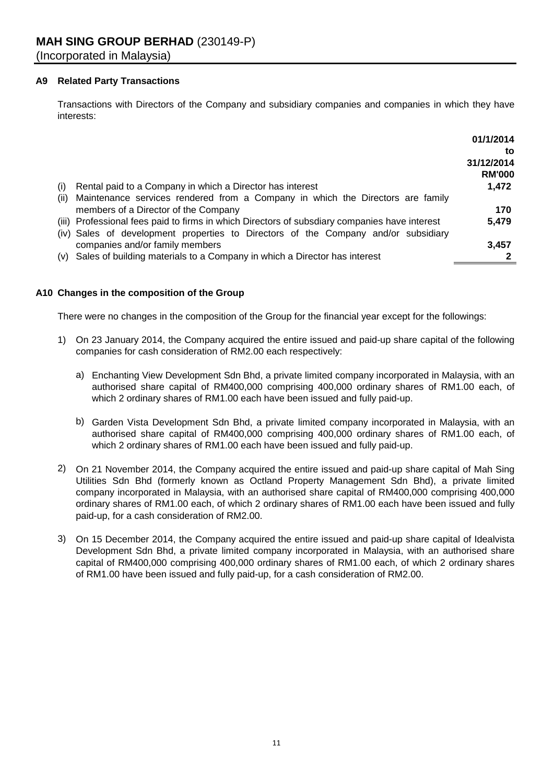#### **A9 Related Party Transactions**

Transactions with Directors of the Company and subsidiary companies and companies in which they have interests:

|      |                                                                                               | 01/1/2014                         |
|------|-----------------------------------------------------------------------------------------------|-----------------------------------|
|      |                                                                                               | to<br>31/12/2014<br><b>RM'000</b> |
| (i)  | Rental paid to a Company in which a Director has interest                                     | 1,472                             |
| (II) | Maintenance services rendered from a Company in which the Directors are family                |                                   |
|      | members of a Director of the Company                                                          | 170                               |
|      | (iii) Professional fees paid to firms in which Directors of subsdiary companies have interest | 5,479                             |
|      | (iv) Sales of development properties to Directors of the Company and/or subsidiary            |                                   |
|      | companies and/or family members                                                               | 3,457                             |
|      | (v) Sales of building materials to a Company in which a Director has interest                 |                                   |

### **A10 Changes in the composition of the Group**

There were no changes in the composition of the Group for the financial year except for the followings:

- 1) On 23 January 2014, the Company acquired the entire issued and paid-up share capital of the following companies for cash consideration of RM2.00 each respectively:
	- a) Enchanting View Development Sdn Bhd, a private limited company incorporated in Malaysia, with an authorised share capital of RM400,000 comprising 400,000 ordinary shares of RM1.00 each, of which 2 ordinary shares of RM1.00 each have been issued and fully paid-up.
	- b) Garden Vista Development Sdn Bhd, a private limited company incorporated in Malaysia, with an authorised share capital of RM400,000 comprising 400,000 ordinary shares of RM1.00 each, of which 2 ordinary shares of RM1.00 each have been issued and fully paid-up.
- 2) On 21 November 2014, the Company acquired the entire issued and paid-up share capital of Mah Sing Utilities Sdn Bhd (formerly known as Octland Property Management Sdn Bhd), a private limited company incorporated in Malaysia, with an authorised share capital of RM400,000 comprising 400,000 ordinary shares of RM1.00 each, of which 2 ordinary shares of RM1.00 each have been issued and fully paid-up, for a cash consideration of RM2.00.
- 3) On 15 December 2014, the Company acquired the entire issued and paid-up share capital of Idealvista Development Sdn Bhd, a private limited company incorporated in Malaysia, with an authorised share capital of RM400,000 comprising 400,000 ordinary shares of RM1.00 each, of which 2 ordinary shares of RM1.00 have been issued and fully paid-up, for a cash consideration of RM2.00.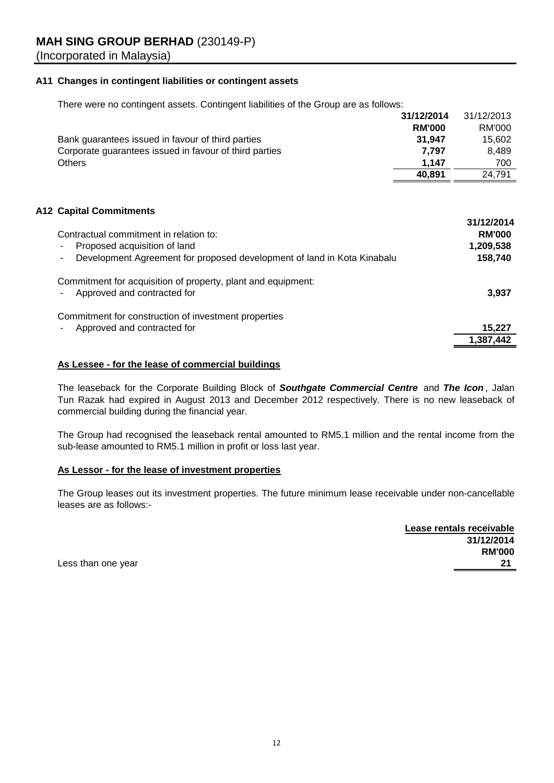#### **A11 Changes in contingent liabilities or contingent assets**

There were no contingent assets. Contingent liabilities of the Group are as follows:

|                                                        | 31/12/2014    | 31/12/2013 |
|--------------------------------------------------------|---------------|------------|
|                                                        | <b>RM'000</b> | RM'000     |
| Bank guarantees issued in favour of third parties      | 31.947        | 15.602     |
| Corporate guarantees issued in favour of third parties | 7.797         | 8.489      |
| <b>Others</b>                                          | 1.147         | 700        |
|                                                        | 40.891        | 24.791     |

### **A12 Capital Commitments**

| Contractual commitment in relation to:<br>Proposed acquisition of land<br>Development Agreement for proposed development of land in Kota Kinabalu | 31/12/2014<br><b>RM'000</b><br>1,209,538<br>158,740 |
|---------------------------------------------------------------------------------------------------------------------------------------------------|-----------------------------------------------------|
| Commitment for acquisition of property, plant and equipment:<br>Approved and contracted for                                                       | 3,937                                               |
| Commitment for construction of investment properties<br>Approved and contracted for                                                               | 15,227                                              |
|                                                                                                                                                   | 1,387,442                                           |

#### **As Lessee - for the lease of commercial buildings**

The leaseback for the Corporate Building Block of *Southgate Commercial Centre* and *The Icon* , Jalan Tun Razak had expired in August 2013 and December 2012 respectively. There is no new leaseback of commercial building during the financial year.

The Group had recognised the leaseback rental amounted to RM5.1 million and the rental income from the sub-lease amounted to RM5.1 million in profit or loss last year.

#### **As Lessor - for the lease of investment properties**

The Group leases out its investment properties. The future minimum lease receivable under non-cancellable leases are as follows:-

| Lease rentals receivable |
|--------------------------|
| 31/12/2014               |
| <b>RM'000</b>            |
| 21                       |

Less than one year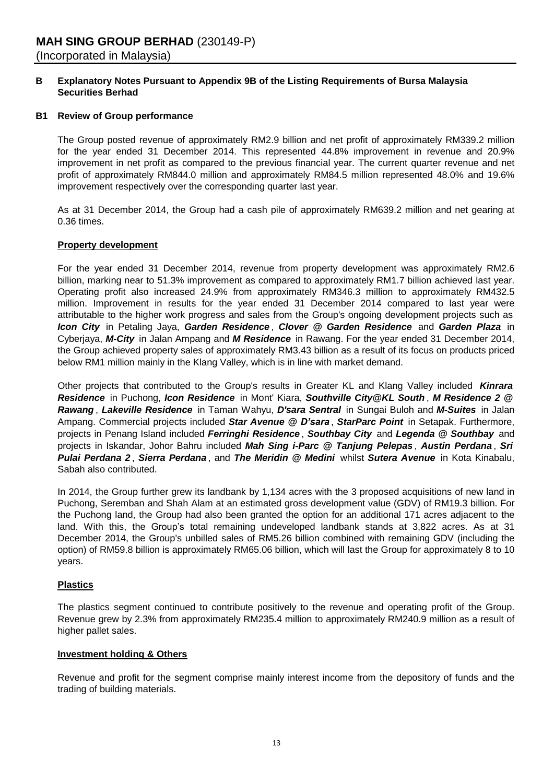#### **B Securities Berhad Explanatory Notes Pursuant to Appendix 9B of the Listing Requirements of Bursa Malaysia**

#### **B1 Review of Group performance**

The Group posted revenue of approximately RM2.9 billion and net profit of approximately RM339.2 million for the year ended 31 December 2014. This represented 44.8% improvement in revenue and 20.9% improvement in net profit as compared to the previous financial year. The current quarter revenue and net profit of approximately RM844.0 million and approximately RM84.5 million represented 48.0% and 19.6% improvement respectively over the corresponding quarter last year.

As at 31 December 2014, the Group had a cash pile of approximately RM639.2 million and net gearing at 0.36 times.

#### **Property development**

For the year ended 31 December 2014, revenue from property development was approximately RM2.6 billion, marking near to 51.3% improvement as compared to approximately RM1.7 billion achieved last year. Operating profit also increased 24.9% from approximately RM346.3 million to approximately RM432.5 million. Improvement in results for the year ended 31 December 2014 compared to last year were attributable to the higher work progress and sales from the Group's ongoing development projects such as *Icon City* in Petaling Jaya, *Garden Residence* , *Clover @ Garden Residence* and *Garden Plaza* in Cyberjaya, *M-City* in Jalan Ampang and *M Residence* in Rawang. For the year ended 31 December 2014, the Group achieved property sales of approximately RM3.43 billion as a result of its focus on products priced below RM1 million mainly in the Klang Valley, which is in line with market demand.

Other projects that contributed to the Group's results in Greater KL and Klang Valley included *Kinrara Residence* in Puchong, *Icon Residence* in Mont' Kiara, *Southville City@KL South* , *M Residence 2 @ Rawang* , *Lakeville Residence* in Taman Wahyu, *D'sara Sentral* in Sungai Buloh and *M-Suites* in Jalan Ampang. Commercial projects included *Star Avenue @ D'sara* , *StarParc Point* in Setapak. Furthermore, projects in Penang Island included *Ferringhi Residence* , *Southbay City* and *Legenda @ Southbay* and projects in Iskandar, Johor Bahru included *Mah Sing i-Parc @ Tanjung Pelepas* , *Austin Perdana* , *Sri Pulai Perdana 2* , *Sierra Perdana* , and *The Meridin @ Medini* whilst *Sutera Avenue* in Kota Kinabalu, Sabah also contributed.

In 2014, the Group further grew its landbank by 1,134 acres with the 3 proposed acquisitions of new land in Puchong, Seremban and Shah Alam at an estimated gross development value (GDV) of RM19.3 billion. For the Puchong land, the Group had also been granted the option for an additional 171 acres adjacent to the land. With this, the Group's total remaining undeveloped landbank stands at 3,822 acres. As at 31 December 2014, the Group's unbilled sales of RM5.26 billion combined with remaining GDV (including the option) of RM59.8 billion is approximately RM65.06 billion, which will last the Group for approximately 8 to 10 years.

#### **Plastics**

The plastics segment continued to contribute positively to the revenue and operating profit of the Group. Revenue grew by 2.3% from approximately RM235.4 million to approximately RM240.9 million as a result of higher pallet sales.

#### **Investment holding & Others**

Revenue and profit for the segment comprise mainly interest income from the depository of funds and the trading of building materials.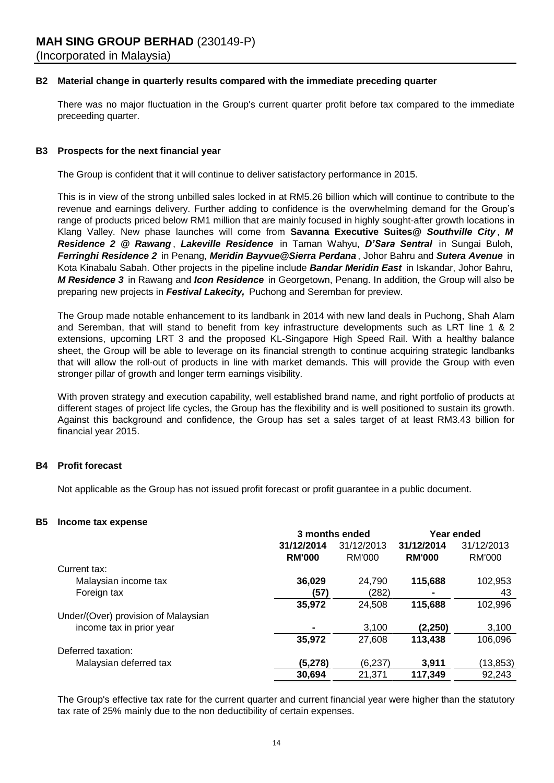#### **B2 Material change in quarterly results compared with the immediate preceding quarter**

There was no major fluctuation in the Group's current quarter profit before tax compared to the immediate preceeding quarter.

#### **B3 Prospects for the next financial year**

The Group is confident that it will continue to deliver satisfactory performance in 2015.

This is in view of the strong unbilled sales locked in at RM5.26 billion which will continue to contribute to the revenue and earnings delivery. Further adding to confidence is the overwhelming demand for the Group's range of products priced below RM1 million that are mainly focused in highly sought-after growth locations in Klang Valley. New phase launches will come from **Savanna Executive Suites@** *Southville City* , *M Residence 2 @ Rawang* , *Lakeville Residence* in Taman Wahyu, *D'Sara Sentral* in Sungai Buloh, *Ferringhi Residence 2* in Penang, *Meridin Bayvue@Sierra Perdana* , Johor Bahru and *Sutera Avenue* in Kota Kinabalu Sabah. Other projects in the pipeline include *Bandar Meridin East* in Iskandar, Johor Bahru, *M Residence 3* in Rawang and *Icon Residence* in Georgetown, Penang. In addition, the Group will also be preparing new projects in *Festival Lakecity,* Puchong and Seremban for preview.

The Group made notable enhancement to its landbank in 2014 with new land deals in Puchong, Shah Alam and Seremban, that will stand to benefit from key infrastructure developments such as LRT line 1 & 2 extensions, upcoming LRT 3 and the proposed KL-Singapore High Speed Rail. With a healthy balance sheet, the Group will be able to leverage on its financial strength to continue acquiring strategic landbanks that will allow the roll-out of products in line with market demands. This will provide the Group with even stronger pillar of growth and longer term earnings visibility.

With proven strategy and execution capability, well established brand name, and right portfolio of products at different stages of project life cycles, the Group has the flexibility and is well positioned to sustain its growth. Against this background and confidence, the Group has set a sales target of at least RM3.43 billion for financial year 2015.

#### **B4 Profit forecast**

Not applicable as the Group has not issued profit forecast or profit guarantee in a public document.

#### **B5 Income tax expense**

|                                     | 3 months ended |            | Year ended    |            |
|-------------------------------------|----------------|------------|---------------|------------|
|                                     | 31/12/2014     | 31/12/2013 | 31/12/2014    | 31/12/2013 |
|                                     | <b>RM'000</b>  | RM'000     | <b>RM'000</b> | RM'000     |
| Current tax:                        |                |            |               |            |
| Malaysian income tax                | 36,029         | 24,790     | 115,688       | 102,953    |
| Foreign tax                         | (57)           | (282)      | ۰             | 43         |
|                                     | 35,972         | 24,508     | 115,688       | 102,996    |
| Under/(Over) provision of Malaysian |                |            |               |            |
| income tax in prior year            |                | 3,100      | (2, 250)      | 3,100      |
|                                     | 35,972         | 27,608     | 113,438       | 106,096    |
| Deferred taxation:                  |                |            |               |            |
| Malaysian deferred tax              | (5,278)        | (6, 237)   | 3,911         | (13, 853)  |
|                                     | 30,694         | 21.371     | 117,349       | 92,243     |

The Group's effective tax rate for the current quarter and current financial year were higher than the statutory tax rate of 25% mainly due to the non deductibility of certain expenses.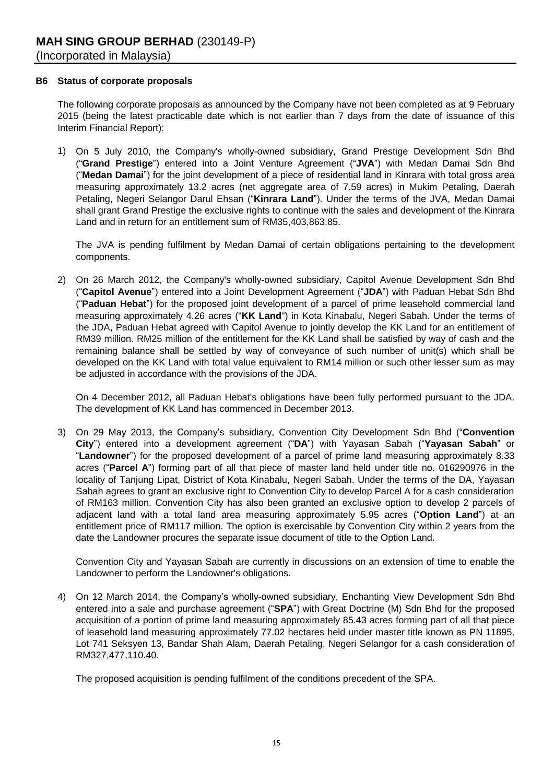#### **B6 Status of corporate proposals**

The following corporate proposals as announced by the Company have not been completed as at 9 February 2015 (being the latest practicable date which is not earlier than 7 days from the date of issuance of this Interim Financial Report):

1) On 5 July 2010, the Company's wholly-owned subsidiary, Grand Prestige Development Sdn Bhd ("**Grand Prestige**") entered into a Joint Venture Agreement ("**JVA**") with Medan Damai Sdn Bhd ("**Medan Damai**") for the joint development of a piece of residential land in Kinrara with total gross area measuring approximately 13.2 acres (net aggregate area of 7.59 acres) in Mukim Petaling, Daerah Petaling, Negeri Selangor Darul Ehsan ("**Kinrara Land**"). Under the terms of the JVA, Medan Damai shall grant Grand Prestige the exclusive rights to continue with the sales and development of the Kinrara Land and in return for an entitlement sum of RM35,403,863.85.

The JVA is pending fulfilment by Medan Damai of certain obligations pertaining to the development components.

2) On 26 March 2012, the Company's wholly-owned subsidiary, Capitol Avenue Development Sdn Bhd ("**Capitol Avenue**") entered into a Joint Development Agreement ("**JDA**") with Paduan Hebat Sdn Bhd ("**Paduan Hebat**") for the proposed joint development of a parcel of prime leasehold commercial land measuring approximately 4.26 acres ("**KK Land**") in Kota Kinabalu, Negeri Sabah. Under the terms of the JDA, Paduan Hebat agreed with Capitol Avenue to jointly develop the KK Land for an entitlement of RM39 million. RM25 million of the entitlement for the KK Land shall be satisfied by way of cash and the remaining balance shall be settled by way of conveyance of such number of unit(s) which shall be developed on the KK Land with total value equivalent to RM14 million or such other lesser sum as may be adjusted in accordance with the provisions of the JDA.

On 4 December 2012, all Paduan Hebat's obligations have been fully performed pursuant to the JDA. The development of KK Land has commenced in December 2013.

3) On 29 May 2013, the Company's subsidiary, Convention City Development Sdn Bhd ("**Convention City**") entered into a development agreement ("**DA**") with Yayasan Sabah ("**Yayasan Sabah**" or "**Landowner**") for the proposed development of a parcel of prime land measuring approximately 8.33 acres ("**Parcel A**") forming part of all that piece of master land held under title no. 016290976 in the locality of Tanjung Lipat, District of Kota Kinabalu, Negeri Sabah. Under the terms of the DA, Yayasan Sabah agrees to grant an exclusive right to Convention City to develop Parcel A for a cash consideration of RM163 million. Convention City has also been granted an exclusive option to develop 2 parcels of adjacent land with a total land area measuring approximately 5.95 acres ("**Option Land**") at an entitlement price of RM117 million. The option is exercisable by Convention City within 2 years from the date the Landowner procures the separate issue document of title to the Option Land.

Convention City and Yayasan Sabah are currently in discussions on an extension of time to enable the Landowner to perform the Landowner's obligations.

4) On 12 March 2014, the Company's wholly-owned subsidiary, Enchanting View Development Sdn Bhd entered into a sale and purchase agreement ("**SPA**") with Great Doctrine (M) Sdn Bhd for the proposed acquisition of a portion of prime land measuring approximately 85.43 acres forming part of all that piece of leasehold land measuring approximately 77.02 hectares held under master title known as PN 11895, Lot 741 Seksyen 13, Bandar Shah Alam, Daerah Petaling, Negeri Selangor for a cash consideration of RM327,477,110.40.

The proposed acquisition is pending fulfilment of the conditions precedent of the SPA.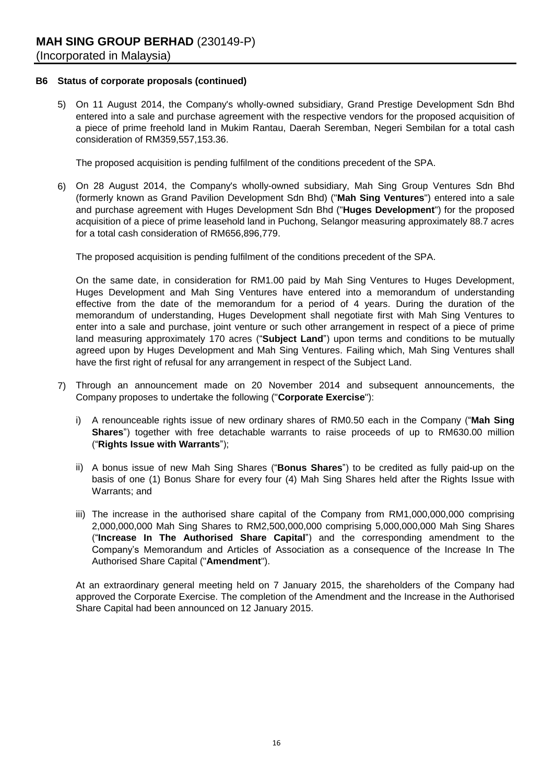#### **B6 Status of corporate proposals (continued)**

5) On 11 August 2014, the Company's wholly-owned subsidiary, Grand Prestige Development Sdn Bhd entered into a sale and purchase agreement with the respective vendors for the proposed acquisition of a piece of prime freehold land in Mukim Rantau, Daerah Seremban, Negeri Sembilan for a total cash consideration of RM359,557,153.36.

The proposed acquisition is pending fulfilment of the conditions precedent of the SPA.

6) On 28 August 2014, the Company's wholly-owned subsidiary, Mah Sing Group Ventures Sdn Bhd (formerly known as Grand Pavilion Development Sdn Bhd) ("**Mah Sing Ventures**") entered into a sale and purchase agreement with Huges Development Sdn Bhd ("**Huges Development**") for the proposed acquisition of a piece of prime leasehold land in Puchong, Selangor measuring approximately 88.7 acres for a total cash consideration of RM656,896,779.

The proposed acquisition is pending fulfilment of the conditions precedent of the SPA.

On the same date, in consideration for RM1.00 paid by Mah Sing Ventures to Huges Development, Huges Development and Mah Sing Ventures have entered into a memorandum of understanding effective from the date of the memorandum for a period of 4 years. During the duration of the memorandum of understanding, Huges Development shall negotiate first with Mah Sing Ventures to enter into a sale and purchase, joint venture or such other arrangement in respect of a piece of prime land measuring approximately 170 acres ("**Subject Land**") upon terms and conditions to be mutually agreed upon by Huges Development and Mah Sing Ventures. Failing which, Mah Sing Ventures shall have the first right of refusal for any arrangement in respect of the Subject Land.

- 7) Through an announcement made on 20 November 2014 and subsequent announcements, the Company proposes to undertake the following ("**Corporate Exercise**"):
	- i) A renounceable rights issue of new ordinary shares of RM0.50 each in the Company ("**Mah Sing Shares**") together with free detachable warrants to raise proceeds of up to RM630.00 million ("**Rights Issue with Warrants**");
	- ii) A bonus issue of new Mah Sing Shares ("**Bonus Shares**") to be credited as fully paid-up on the basis of one (1) Bonus Share for every four (4) Mah Sing Shares held after the Rights Issue with Warrants; and
	- iii) The increase in the authorised share capital of the Company from RM1,000,000,000 comprising 2,000,000,000 Mah Sing Shares to RM2,500,000,000 comprising 5,000,000,000 Mah Sing Shares ("**Increase In The Authorised Share Capital**") and the corresponding amendment to the Company's Memorandum and Articles of Association as a consequence of the Increase In The Authorised Share Capital ("**Amendment**").

At an extraordinary general meeting held on 7 January 2015, the shareholders of the Company had approved the Corporate Exercise. The completion of the Amendment and the Increase in the Authorised Share Capital had been announced on 12 January 2015.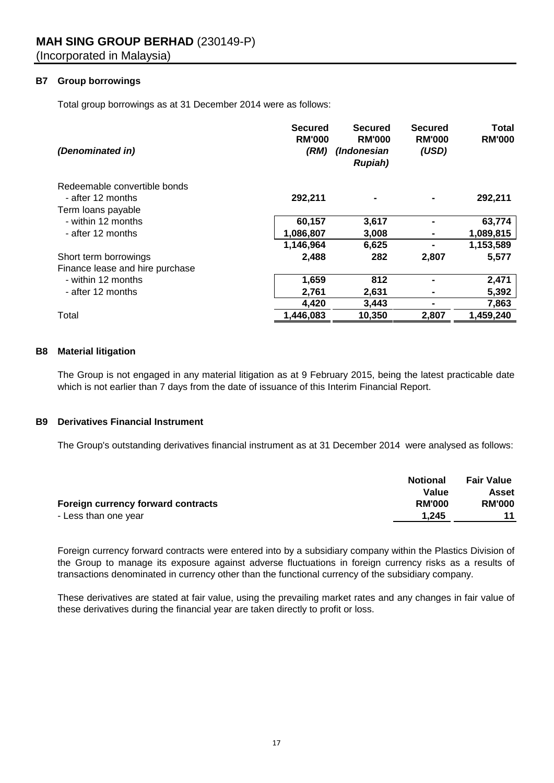# **B7 Group borrowings**

Total group borrowings as at 31 December 2014 were as follows:

| (Denominated in)                | <b>Secured</b><br><b>RM'000</b><br>(RM) | Secured<br><b>RM'000</b><br>(Indonesian<br><b>Rupiah</b> ) | <b>Secured</b><br><b>RM'000</b><br>(USD) | <b>Total</b><br><b>RM'000</b> |
|---------------------------------|-----------------------------------------|------------------------------------------------------------|------------------------------------------|-------------------------------|
| Redeemable convertible bonds    |                                         |                                                            |                                          |                               |
| - after 12 months               | 292,211                                 |                                                            |                                          | 292,211                       |
| Term loans payable              |                                         |                                                            |                                          |                               |
| - within 12 months              | 60,157                                  | 3,617                                                      |                                          | 63,774                        |
| - after 12 months               | 1,086,807                               | 3,008                                                      |                                          | 1,089,815                     |
|                                 | 1,146,964                               | 6,625                                                      |                                          | 1,153,589                     |
| Short term borrowings           | 2,488                                   | 282                                                        | 2,807                                    | 5,577                         |
| Finance lease and hire purchase |                                         |                                                            |                                          |                               |
| - within 12 months              | 1,659                                   | 812                                                        |                                          | 2,471                         |
| - after 12 months               | 2,761                                   | 2,631                                                      |                                          | 5,392                         |
|                                 | 4,420                                   | 3,443                                                      |                                          | 7,863                         |
| Total                           | 1,446,083                               | 10,350                                                     | 2,807                                    | 1,459,240                     |

#### **B8 Material litigation**

The Group is not engaged in any material litigation as at 9 February 2015, being the latest practicable date which is not earlier than 7 days from the date of issuance of this Interim Financial Report.

#### **B9 Derivatives Financial Instrument**

The Group's outstanding derivatives financial instrument as at 31 December 2014 were analysed as follows:

|                                           | <b>Notional</b> | <b>Fair Value</b> |
|-------------------------------------------|-----------------|-------------------|
|                                           | Value           | Asset             |
| <b>Foreign currency forward contracts</b> | <b>RM'000</b>   | <b>RM'000</b>     |
| - Less than one year                      | 1.245           |                   |

Foreign currency forward contracts were entered into by a subsidiary company within the Plastics Division of the Group to manage its exposure against adverse fluctuations in foreign currency risks as a results of transactions denominated in currency other than the functional currency of the subsidiary company.

These derivatives are stated at fair value, using the prevailing market rates and any changes in fair value of these derivatives during the financial year are taken directly to profit or loss.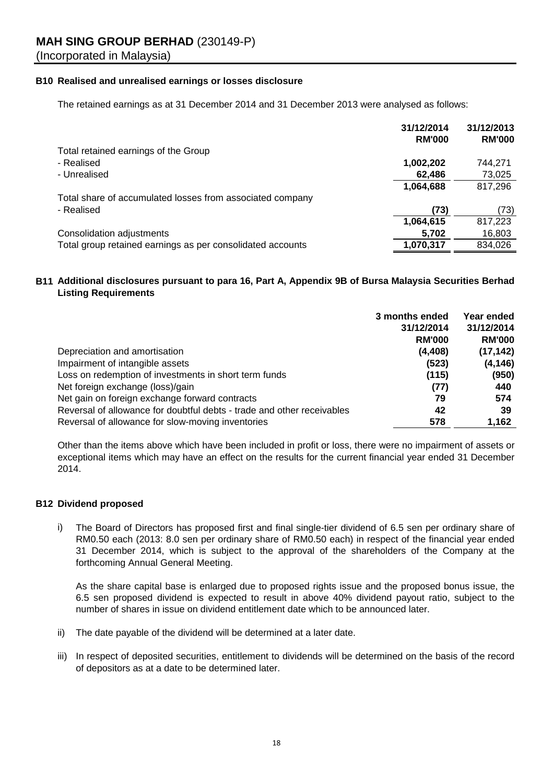#### **B10 Realised and unrealised earnings or losses disclosure**

The retained earnings as at 31 December 2014 and 31 December 2013 were analysed as follows:

|                                                            | 31/12/2014    | 31/12/2013    |
|------------------------------------------------------------|---------------|---------------|
|                                                            | <b>RM'000</b> | <b>RM'000</b> |
| Total retained earnings of the Group                       |               |               |
| - Realised                                                 | 1,002,202     | 744.271       |
| - Unrealised                                               | 62,486        | 73,025        |
|                                                            | 1,064,688     | 817,296       |
| Total share of accumulated losses from associated company  |               |               |
| - Realised                                                 | (73)          | (73)          |
|                                                            | 1,064,615     | 817,223       |
| Consolidation adjustments                                  | 5,702         | 16,803        |
| Total group retained earnings as per consolidated accounts | 1,070,317     | 834,026       |

#### **B11 Additional disclosures pursuant to para 16, Part A, Appendix 9B of Bursa Malaysia Securities Berhad Listing Requirements**

|                                                                        | 3 months ended | Year ended    |
|------------------------------------------------------------------------|----------------|---------------|
|                                                                        | 31/12/2014     | 31/12/2014    |
|                                                                        | <b>RM'000</b>  | <b>RM'000</b> |
| Depreciation and amortisation                                          | (4, 408)       | (17, 142)     |
| Impairment of intangible assets                                        | (523)          | (4, 146)      |
| Loss on redemption of investments in short term funds                  | (115)          | (950)         |
| Net foreign exchange (loss)/gain                                       | (77)           | 440           |
| Net gain on foreign exchange forward contracts                         | 79             | 574           |
| Reversal of allowance for doubtful debts - trade and other receivables | 42             | 39            |
| Reversal of allowance for slow-moving inventories                      | 578            | 1,162         |

Other than the items above which have been included in profit or loss, there were no impairment of assets or exceptional items which may have an effect on the results for the current financial year ended 31 December 2014.

#### **B12 Dividend proposed**

i) The Board of Directors has proposed first and final single-tier dividend of 6.5 sen per ordinary share of RM0.50 each (2013: 8.0 sen per ordinary share of RM0.50 each) in respect of the financial year ended 31 December 2014, which is subject to the approval of the shareholders of the Company at the forthcoming Annual General Meeting.

As the share capital base is enlarged due to proposed rights issue and the proposed bonus issue, the 6.5 sen proposed dividend is expected to result in above 40% dividend payout ratio, subject to the number of shares in issue on dividend entitlement date which to be announced later.

- ii) The date payable of the dividend will be determined at a later date.
- iii) In respect of deposited securities, entitlement to dividends will be determined on the basis of the record of depositors as at a date to be determined later.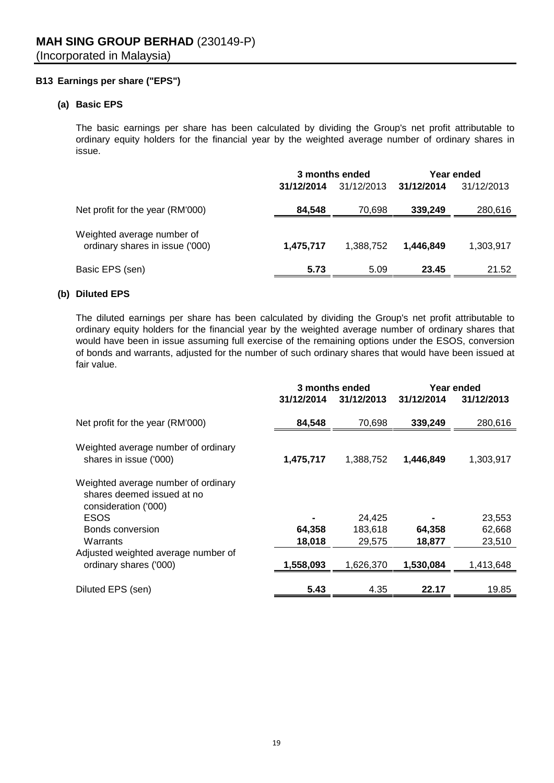#### **B13 Earnings per share ("EPS")**

#### **(a) Basic EPS**

The basic earnings per share has been calculated by dividing the Group's net profit attributable to ordinary equity holders for the financial year by the weighted average number of ordinary shares in issue.

|                                                               | 3 months ended |            | Year ended |            |
|---------------------------------------------------------------|----------------|------------|------------|------------|
|                                                               | 31/12/2014     | 31/12/2013 | 31/12/2014 | 31/12/2013 |
| Net profit for the year (RM'000)                              | 84,548         | 70,698     | 339,249    | 280,616    |
| Weighted average number of<br>ordinary shares in issue ('000) | 1,475,717      | 1,388,752  | 1.446.849  | 1,303,917  |
| Basic EPS (sen)                                               | 5.73           | 5.09       | 23.45      | 21.52      |

# **(b) Diluted EPS**

The diluted earnings per share has been calculated by dividing the Group's net profit attributable to ordinary equity holders for the financial year by the weighted average number of ordinary shares that would have been in issue assuming full exercise of the remaining options under the ESOS, conversion of bonds and warrants, adjusted for the number of such ordinary shares that would have been issued at fair value.

|                                                                                           | 3 months ended |            | Year ended |            |
|-------------------------------------------------------------------------------------------|----------------|------------|------------|------------|
|                                                                                           | 31/12/2014     | 31/12/2013 | 31/12/2014 | 31/12/2013 |
| Net profit for the year (RM'000)                                                          | 84,548         | 70,698     | 339,249    | 280,616    |
| Weighted average number of ordinary<br>shares in issue ('000)                             | 1,475,717      | 1,388,752  | 1,446,849  | 1,303,917  |
| Weighted average number of ordinary<br>shares deemed issued at no<br>consideration ('000) |                |            |            |            |
| <b>ESOS</b>                                                                               |                | 24,425     |            | 23,553     |
| Bonds conversion                                                                          | 64,358         | 183,618    | 64,358     | 62,668     |
| Warrants                                                                                  | 18,018         | 29,575     | 18,877     | 23,510     |
| Adjusted weighted average number of                                                       |                |            |            |            |
| ordinary shares ('000)                                                                    | 1,558,093      | 1,626,370  | 1,530,084  | 1,413,648  |
| Diluted EPS (sen)                                                                         | 5.43           | 4.35       | 22.17      | 19.85      |